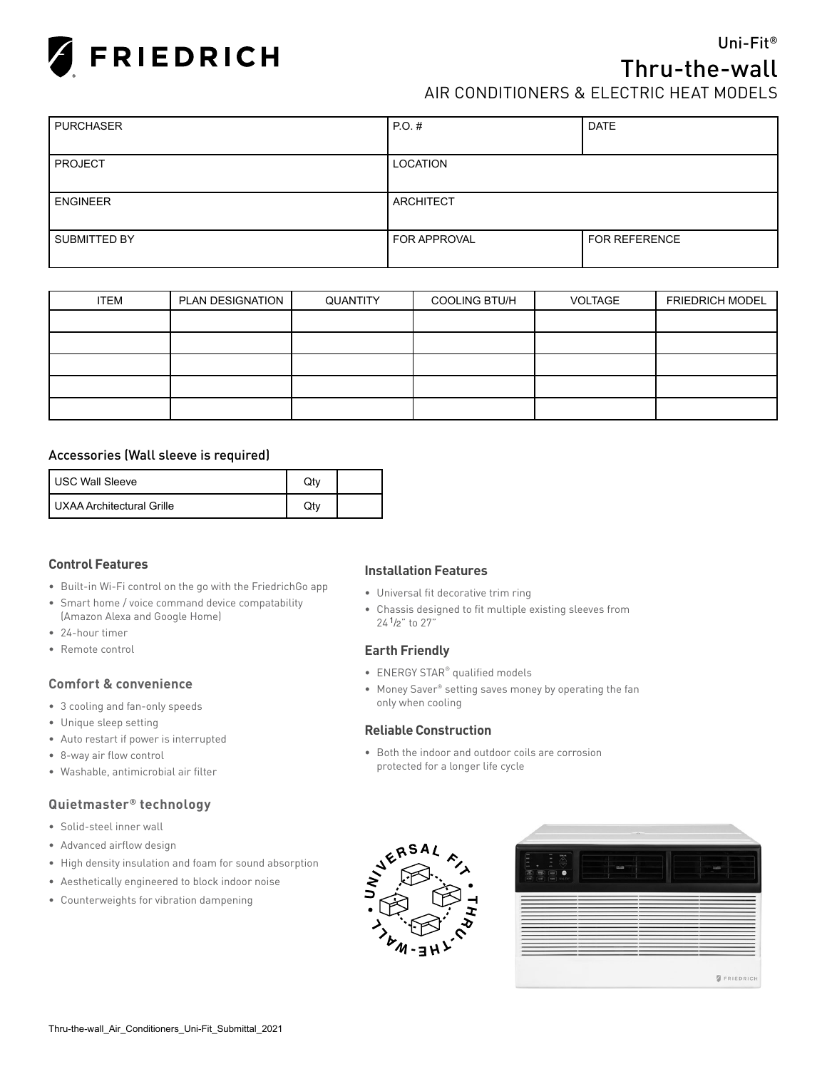

# Uni-Fit® Thru-the-wall AIR CONDITIONERS & ELECTRIC HEAT MODELS

| <b>PURCHASER</b> | PO.H                | <b>DATE</b>          |
|------------------|---------------------|----------------------|
|                  |                     |                      |
| <b>PROJECT</b>   | LOCATION            |                      |
|                  |                     |                      |
| <b>ENGINEER</b>  | ARCHITECT           |                      |
|                  |                     |                      |
| SUBMITTED BY     | <b>FOR APPROVAL</b> | <b>FOR REFERENCE</b> |
|                  |                     |                      |

| <b>ITEM</b> | PLAN DESIGNATION | QUANTITY | <b>COOLING BTU/H</b> | VOLTAGE | <b>FRIEDRICH MODEL</b> |
|-------------|------------------|----------|----------------------|---------|------------------------|
|             |                  |          |                      |         |                        |
|             |                  |          |                      |         |                        |
|             |                  |          |                      |         |                        |
|             |                  |          |                      |         |                        |
|             |                  |          |                      |         |                        |

#### Accessories (Wall sleeve is required)

| I USC Wall Sleeve         |  |
|---------------------------|--|
| UXAA Architectural Grille |  |

## **Control Features**

- Built-in Wi-Fi control on the go with the FriedrichGo app
- Smart home / voice command device compatability (Amazon Alexa and Google Home)
- 24-hour timer
- Remote control

#### **Comfort & convenience**

- 3 cooling and fan-only speeds
- Unique sleep setting
- Auto restart if power is interrupted
- 8-way air flow control
- Washable, antimicrobial air filter

### **Quietmaster® technology**

- Solid-steel inner wall
- Advanced airflow design
- High density insulation and foam for sound absorption
- Aesthetically engineered to block indoor noise
- Counterweights for vibration dampening

#### **Installation Features**

- Universal fit decorative trim ring
- Chassis designed to fit multiple existing sleeves from 24 1/2" to 27"

#### **Earth Friendly**

- ENERGY STAR® qualified models
- Money Saver® setting saves money by operating the fan only when cooling

#### **Reliable Construction**

• Both the indoor and outdoor coils are corrosion protected for a longer life cycle



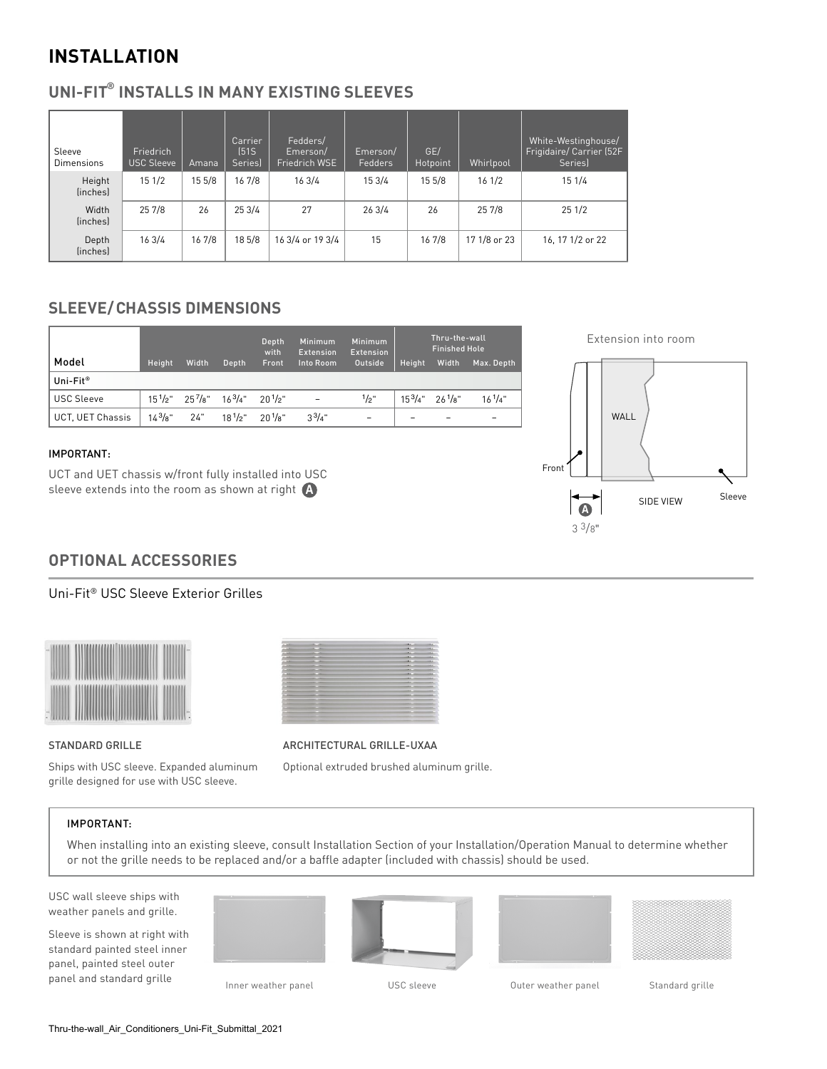# **INSTALLATION**

## **UNI-FIT® INSTALLS IN MANY EXISTING SLEEVES**

| Sleeve<br><b>Dimensions</b> | Friedrich<br>USC Sleeve | Amana  | Carrier<br>[51S]<br>Seriesl | Fedders/<br>Emerson/<br>Friedrich WSE | Emerson/<br>Fedders | GE/<br>Hotpoint | Whirlpool    | White-Westinghouse/<br>Frigidaire/ Carrier (52F<br>Seriesl |
|-----------------------------|-------------------------|--------|-----------------------------|---------------------------------------|---------------------|-----------------|--------------|------------------------------------------------------------|
| Height<br><i>linchesl</i>   | 151/2                   | 15 5/8 | 16 7/8                      | 163/4                                 | 15 3/4              | 15 5/8          | 161/2        | 15 1/4                                                     |
| Width<br>(inches)           | 25 7/8                  | 26     | 253/4                       | 27                                    | 263/4               | 26              | 25 7/8       | 251/2                                                      |
| Depth<br>(inches)           | 163/4                   | 16 7/8 | 18 5/8                      | 16 3/4 or 19 3/4                      | 15                  | 16 7/8          | 17 1/8 or 23 | 16, 17 1/2 or 22                                           |

## **SLEEVE/CHASSIS DIMENSIONS**

|                      |             |                                                     |              | Depth<br>with | Minimum<br><b>Extension</b> | Minimum<br><b>Extension</b> | Thru-the-wall<br><b>Finished Hole</b> |                     |                          |  |  |
|----------------------|-------------|-----------------------------------------------------|--------------|---------------|-----------------------------|-----------------------------|---------------------------------------|---------------------|--------------------------|--|--|
| Model                | Height      | Width                                               | Depth        | Front         | Into Room                   | Outside                     | Height                                | Width               | Max. Depth               |  |  |
| Uni-Fit <sup>®</sup> |             |                                                     |              |               |                             |                             |                                       |                     |                          |  |  |
| <b>USC Sleeve</b>    |             | $15^{1}/2$ " $25^{7}/8$ " $16^{3}/4$ " $20^{1}/2$ " |              |               | $\overline{a}$              | 1/2"                        |                                       | $15^3/4"$ $26^1/8"$ | $16^{1}/4"$              |  |  |
| UCT, UET Chassis     | $14^{3}/8"$ | 24"                                                 | $18^{1/2}$ " | $20^{1}/s$ "  | $3^{3}/4"$                  | $\overline{\phantom{m}}$    | -                                     |                     | $\overline{\phantom{a}}$ |  |  |

## IMPORTANT:

UCT and UET chassis w/front fully installed into USC sleeve extends into the room as shown at right



## **OPTIONAL ACCESSORIES**

## Uni-Fit® USC Sleeve Exterior Grilles





#### STANDARD GRILLE

Ships with USC sleeve. Expanded aluminum grille designed for use with USC sleeve.

ARCHITECTURAL GRILLE-UXAA

Optional extruded brushed aluminum grille.

## IMPORTANT:

When installing into an existing sleeve, consult Installation Section of your Installation/Operation Manual to determine whether or not the grille needs to be replaced and/or a baffle adapter (included with chassis) should be used.

USC wall sleeve ships with weather panels and grille.

Sleeve is shown at right with standard painted steel inner panel, painted steel outer panel and standard grille<br>Inner weather panel USC sleeve Duter weather panel Standard grille